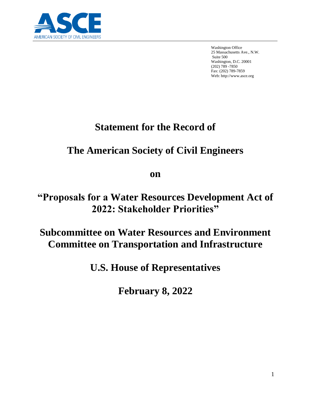

Washington Office 25 Massachusetts Ave., N.W. Suite 500 Washington, D.C. 20001 (202) 789 -7850 Fax: (202) 789-7859 Web: http://www.asce.org

# **Statement for the Record of**

# **The American Society of Civil Engineers**

**on**

# **"Proposals for a Water Resources Development Act of 2022: Stakeholder Priorities"**

# **Subcommittee on Water Resources and Environment Committee on Transportation and Infrastructure**

**U.S. House of Representatives**

**February 8, 2022**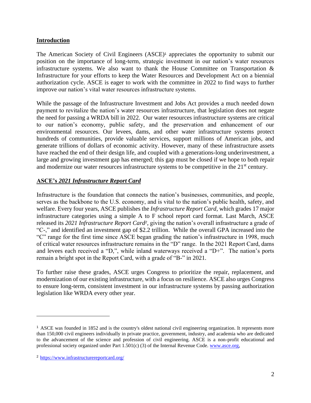#### **Introduction**

The American Society of Civil Engineers (ASCE)<sup>1</sup> appreciates the opportunity to submit our position on the importance of long-term, strategic investment in our nation's water resources infrastructure systems. We also want to thank the House Committee on Transportation  $\&$ Infrastructure for your efforts to keep the Water Resources and Development Act on a biennial authorization cycle. ASCE is eager to work with the committee in 2022 to find ways to further improve our nation's vital water resources infrastructure systems.

While the passage of the Infrastructure Investment and Jobs Act provides a much needed down payment to revitalize the nation's water resources infrastructure, that legislation does not negate the need for passing a WRDA bill in 2022. Our water resources infrastructure systems are critical to our nation's economy, public safety, and the preservation and enhancement of our environmental resources. Our levees, dams, and other water infrastructure systems protect hundreds of communities, provide valuable services, support millions of American jobs, and generate trillions of dollars of economic activity. However, many of these infrastructure assets have reached the end of their design life, and coupled with a generations-long underinvestment, a large and growing investment gap has emerged; this gap must be closed if we hope to both repair and modernize our water resources infrastructure systems to be competitive in the 21<sup>st</sup> century.

## **ASCE's** *2021 Infrastructure Report Card*

Infrastructure is the foundation that connects the nation's businesses, communities, and people, serves as the backbone to the U.S. economy, and is vital to the nation's public health, safety, and welfare. Every four years, ASCE publishes the *Infrastructure Report Card,* which grades 17 major infrastructure categories using a simple A to F school report card format. Last March, ASCE released its *2021 Infrastructure Report Card<sup>2</sup> ,* giving the nation's overall infrastructure a grade of "C-," and identified an investment gap of \$2.2 trillion. While the overall GPA increased into the "C" range for the first time since ASCE began grading the nation's infrastructure in 1998, much of critical water resources infrastructure remains in the "D" range. In the 2021 Report Card, dams and levees each received a "D,", while inland waterways received a "D+". The nation's ports remain a bright spot in the Report Card, with a grade of "B-" in 2021.

To further raise these grades, ASCE urges Congress to prioritize the repair, replacement, and modernization of our existing infrastructure, with a focus on resilience. ASCE also urges Congress to ensure long-term, consistent investment in our infrastructure systems by passing authorization legislation like WRDA every other year.

<sup>1</sup> ASCE was founded in 1852 and is the country's oldest national civil engineering organization. It represents more than 150,000 civil engineers individually in private practice, government, industry, and academia who are dedicated to the advancement of the science and profession of civil engineering. ASCE is a non-profit educational and professional society organized under Part 1.501(c) (3) of the Internal Revenue Code. [www.asce.org,](http://www.asce.org/)

<sup>2</sup> <https://www.infrastructurereportcard.org/>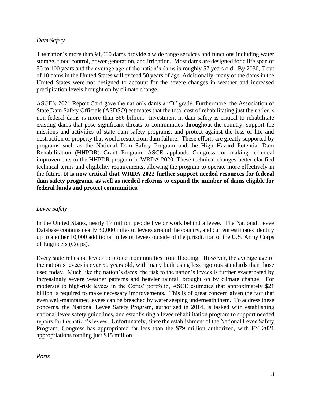#### *Dam Safety*

The nation's more than 91,000 dams provide a wide range services and functions including water storage, flood control, power generation, and irrigation. Most dams are designed for a life span of 50 to 100 years and the average age of the nation's dams is roughly 57 years old. By 2030, 7 out of 10 dams in the United States will exceed 50 years of age. Additionally, many of the dams in the United States were not designed to account for the severe changes in weather and increased precipitation levels brought on by climate change.

ASCE's 2021 Report Card gave the nation's dams a "D" grade. Furthermore, the Association of State Dam Safety Officials (ASDSO) estimates that the total cost of rehabilitating just the nation's non-federal dams is more than \$66 billion. Investment in dam safety is critical to rehabilitate existing dams that pose significant threats to communities throughout the country, support the missions and activities of state dam safety programs, and protect against the loss of life and destruction of property that would result from dam failure. These efforts are greatly supported by programs such as the National Dam Safety Program and the High Hazard Potential Dam Rehabilitation (HHPDR) Grant Program. ASCE applauds Congress for making technical improvements to the HHPDR program in WRDA 2020. These technical changes better clarified technical terms and eligibility requirements, allowing the program to operate more effectively in the future. **It is now critical that WRDA 2022 further support needed resources for federal dam safety programs, as well as needed reforms to expand the number of dams eligible for federal funds and protect communities.**

## *Levee Safety*

In the United States, nearly 17 million people live or work behind a levee. The National Levee Database contains nearly 30,000 miles of levees around the country, and current estimates identify up to another 10,000 additional miles of levees outside of the jurisdiction of the U.S. Army Corps of Engineers (Corps).

Every state relies on levees to protect communities from flooding. However, the average age of the nation's levees is over 50 years old, with many built using less rigorous standards than those used today. Much like the nation's dams, the risk to the nation's levees is further exacerbated by increasingly severe weather patterns and heavier rainfall brought on by climate change. For moderate to high-risk levees in the Corps' portfolio, ASCE estimates that approximately \$21 billion is required to make necessary improvements. This is of great concern given the fact that even well-maintained levees can be breached by water seeping underneath them. To address these concerns, the National Levee Safety Program, authorized in 2014, is tasked with establishing national levee safety guidelines, and establishing a levee rehabilitation program to support needed repairs for the nation's levees. Unfortunately, since the establishment of the National Levee Safety Program, Congress has appropriated far less than the \$79 million authorized, with FY 2021 appropriations totaling just \$15 million.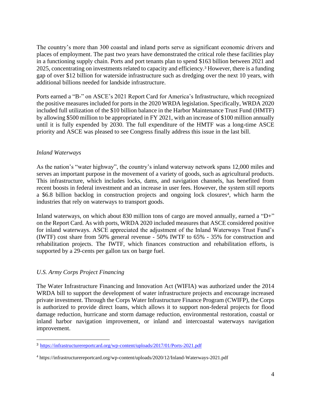The country's more than 300 coastal and inland ports serve as significant economic drivers and places of employment. The past two years have demonstrated the critical role these facilities play in a functioning supply chain. Ports and port tenants plan to spend \$163 billion between 2021 and 2025, concentrating on investments related to capacity and efficiency.<sup>3</sup> However, there is a funding gap of over \$12 billion for waterside infrastructure such as dredging over the next 10 years, with additional billions needed for landside infrastructure.

Ports earned a "B-" on ASCE's 2021 Report Card for America's Infrastructure, which recognized the positive measures included for ports in the 2020 WRDA legislation. Specifically, WRDA 2020 included full utilization of the \$10 billion balance in the Harbor Maintenance Trust Fund (HMTF) by allowing \$500 million to be appropriated in FY 2021, with an increase of \$100 million annually until it is fully expended by 2030. The full expenditure of the HMTF was a long-time ASCE priority and ASCE was pleased to see Congress finally address this issue in the last bill.

#### *Inland Waterways*

As the nation's "water highway", the country's inland waterway network spans 12,000 miles and serves an important purpose in the movement of a variety of goods, such as agricultural products. This infrastructure, which includes locks, dams, and navigation channels, has benefited from recent boosts in federal investment and an increase in user fees. However, the system still reports a \$6.8 billion backlog in construction projects and ongoing lock closures<sup>4</sup>, which harm the industries that rely on waterways to transport goods.

Inland waterways, on which about 830 million tons of cargo are moved annually, earned a "D+" on the Report Card. As with ports, WRDA 2020 included measures that ASCE considered positive for inland waterways. ASCE appreciated the adjustment of the Inland Waterways Trust Fund's (IWTF) cost share from 50% general revenue - 50% IWTF to 65% - 35% for construction and rehabilitation projects. The IWTF, which finances construction and rehabilitation efforts, is supported by a 29-cents per gallon tax on barge fuel.

## *U.S. Army Corps Project Financing*

The Water Infrastructure Financing and Innovation Act (WIFIA) was authorized under the 2014 WRDA bill to support the development of water infrastructure projects and encourage increased private investment. Through the Corps Water Infrastructure Finance Program (CWIFP), the Corps is authorized to provide direct loans, which allows it to support non-federal projects for flood damage reduction, hurricane and storm damage reduction, environmental restoration, coastal or inland harbor navigation improvement, or inland and intercoastal waterways navigation improvement.

<sup>3</sup> <https://infrastructurereportcard.org/wp-content/uploads/2017/01/Ports-2021.pdf>

<sup>4</sup> https://infrastructurereportcard.org/wp-content/uploads/2020/12/Inland-Waterways-2021.pdf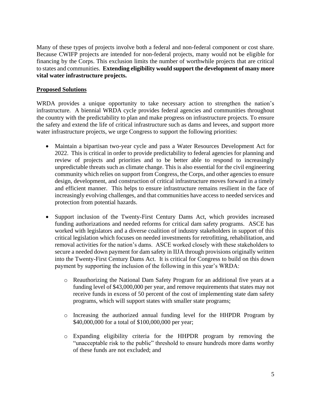Many of these types of projects involve both a federal and non-federal component or cost share. Because CWIFP projects are intended for non-federal projects, many would not be eligible for financing by the Corps. This exclusion limits the number of worthwhile projects that are critical to states and communities. **Extending eligibility would support the development of many more vital water infrastructure projects.**

## **Proposed Solutions**

WRDA provides a unique opportunity to take necessary action to strengthen the nation's infrastructure. A biennial WRDA cycle provides federal agencies and communities throughout the country with the predictability to plan and make progress on infrastructure projects. To ensure the safety and extend the life of critical infrastructure such as dams and levees, and support more water infrastructure projects, we urge Congress to support the following priorities:

- Maintain a bipartisan two-year cycle and pass a Water Resources Development Act for 2022. This is critical in order to provide predictability to federal agencies for planning and review of projects and priorities and to be better able to respond to increasingly unpredictable threats such as climate change. This is also essential for the civil engineering community which relies on support from Congress, the Corps, and other agencies to ensure design, development, and construction of critical infrastructure moves forward in a timely and efficient manner. This helps to ensure infrastructure remains resilient in the face of increasingly evolving challenges, and that communities have access to needed services and protection from potential hazards.
- Support inclusion of the Twenty-First Century Dams Act, which provides increased funding authorizations and needed reforms for critical dam safety programs. ASCE has worked with legislators and a diverse coalition of industry stakeholders in support of this critical legislation which focuses on needed investments for retrofitting, rehabilitation, and removal activities for the nation's dams. ASCE worked closely with these stakeholders to secure a needed down payment for dam safety in IIJA through provisions originally written into the Twenty-First Century Dams Act. It is critical for Congress to build on this down payment by supporting the inclusion of the following in this year's WRDA:
	- o Reauthorizing the National Dam Safety Program for an additional five years at a funding level of \$43,000,000 per year, and remove requirements that states may not receive funds in excess of 50 percent of the cost of implementing state dam safety programs, which will support states with smaller state programs;
	- o Increasing the authorized annual funding level for the HHPDR Program by \$40,000,000 for a total of \$100,000,000 per year;
	- o Expanding eligibility criteria for the HHPDR program by removing the "unacceptable risk to the public" threshold to ensure hundreds more dams worthy of these funds are not excluded; and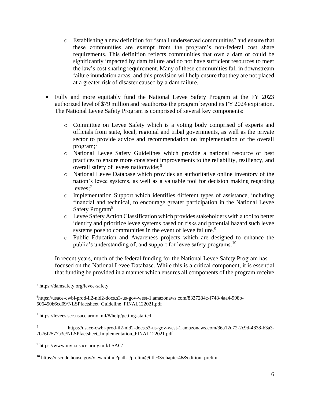- o Establishing a new definition for "small underserved communities" and ensure that these communities are exempt from the program's non-federal cost share requirements. This definition reflects communities that own a dam or could be significantly impacted by dam failure and do not have sufficient resources to meet the law's cost sharing requirement. Many of these communities fall in downstream failure inundation areas, and this provision will help ensure that they are not placed at a greater risk of disaster caused by a dam failure.
- Fully and more equitably fund the National Levee Safety Program at the FY 2023 authorized level of \$79 million and reauthorize the program beyond its FY 2024 expiration. The National Levee Safety Program is comprised of several key components:
	- o Committee on Levee Safety which is a voting body comprised of experts and officials from state, local, regional and tribal governments, as well as the private sector to provide advice and recommendation on implementation of the overall program; 5
	- o National Levee Safety Guidelines which provide a national resource of best practices to ensure more consistent improvements to the reliability, resiliency, and overall safety of levees nationwide;<sup>6</sup>
	- o National Levee Database which provides an authoritative online inventory of the nation's levee systems, as well as a valuable tool for decision making regarding levees; 7
	- o Implementation Support which identifies different types of assistance, including financial and technical, to encourage greater participation in the National Levee Safety Program<sup>8</sup>
	- o Levee Safety Action Classification which provides stakeholders with a tool to better identify and prioritize levee systems based on risks and potential hazard such levee systems pose to communities in the event of levee failure.<sup>9</sup>
	- o Public Education and Awareness projects which are designed to enhance the public's understanding of, and support for levee safety programs.<sup>10</sup>

In recent years, much of the federal funding for the National Levee Safety Program has focused on the National Levee Database. While this is a critical component, it is essential that funding be provided in a manner which ensures all components of the program receive

<sup>5</sup> https://damsafety.org/levee-safety

<sup>6</sup>https://usace-cwbi-prod-il2-nld2-docs.s3-us-gov-west-1.amazonaws.com/8327284c-f748-4aa4-998b-506450b6cd09/NLSPfactsheet\_Guideline\_FINAL122021.pdf

<sup>7</sup> https://levees.sec.usace.army.mil/#/help/getting-started

<sup>8</sup> https://usace-cwbi-prod-il2-nld2-docs.s3-us-gov-west-1.amazonaws.com/36a12d72-2c9d-4838-b3a3- 7b76f2577a3e/NLSPfactsheet\_Implementation\_FINAL122021.pdf

<sup>9</sup> https://www.mvn.usace.army.mil/LSAC/

<sup>10</sup> https://uscode.house.gov/view.xhtml?path=/prelim@title33/chapter46&edition=prelim